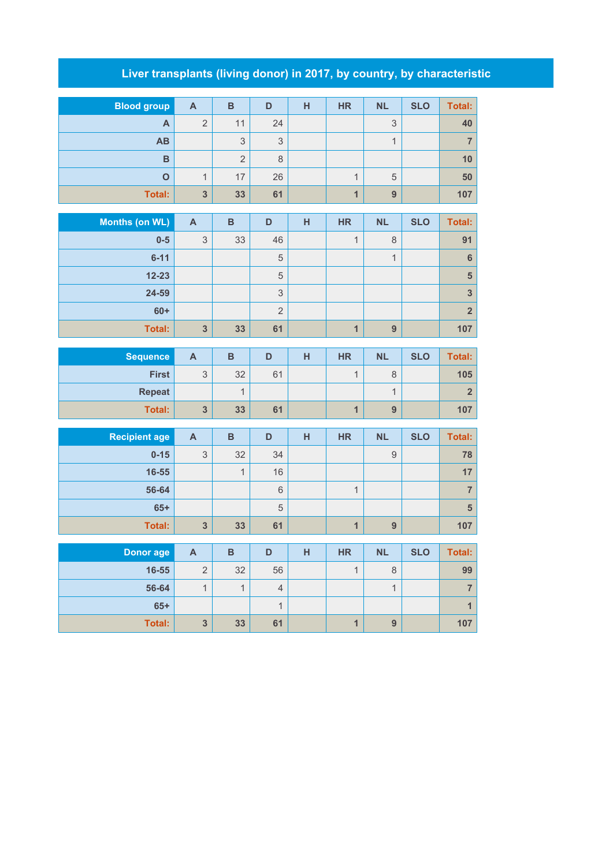## **Liver transplants (living donor) in 2017, by country, by characteristic**

| <b>Blood group</b> | $\mathsf{A}$   | B              | D  | н | <b>HR</b> | <b>NL</b> | <b>SLO</b> | Total: |
|--------------------|----------------|----------------|----|---|-----------|-----------|------------|--------|
| A                  | $\overline{2}$ | 11             | 24 |   |           | 3         |            | 40     |
| <b>AB</b>          |                | 3              | 3  |   |           | и         |            |        |
| B                  |                | $\overline{2}$ | 8  |   |           |           |            | 10     |
| O                  | 1              | 17             | 26 |   | 4         | 5         |            | 50     |
| Total:             | $\overline{3}$ | 33             | 61 |   | 4         | 9         |            | 107    |
|                    |                |                |    |   |           |           |            |        |
| Months (on WL)     | A              | B              | D  | н | <b>HR</b> | <b>NL</b> | <b>SLO</b> | Total: |

|               | . . |    |        | . . | . | --- | --- | $\sim$         |
|---------------|-----|----|--------|-----|---|-----|-----|----------------|
| $0-5$         | 3   | 33 | 46     |     |   | 8   |     | 91             |
| $6 - 11$      |     |    | 5      |     |   |     |     | 6              |
| $12 - 23$     |     |    | 5      |     |   |     |     | 5              |
| 24-59         |     |    | 3      |     |   |     |     | 3              |
| $60+$         |     |    | ∩<br>∠ |     |   |     |     | 2 <sup>1</sup> |
| <b>Total:</b> | 3   | 33 | 61     |     |   | 9   |     | 107            |

| <b>Sequence</b> | A       | в  |    | н | <b>HR</b> | <b>NL</b> | <b>SLO</b> | Total: |
|-----------------|---------|----|----|---|-----------|-----------|------------|--------|
| <b>First</b>    | ◠<br>ບ  | 32 | 61 |   |           | 8         |            | 105    |
| <b>Repeat</b>   |         |    |    |   |           |           |            |        |
| <b>Total:</b>   | າ<br>v. | 33 | 61 |   |           | 9         |            | 107    |

| <b>Recipient age</b> | A | B  | D  | н | <b>HR</b> | <b>NL</b> | <b>SLO</b> | Total: |
|----------------------|---|----|----|---|-----------|-----------|------------|--------|
| $0 - 15$             | 3 | 32 | 34 |   |           | 9         |            | 78     |
| 16-55                |   | и  | 16 |   |           |           |            | 17     |
| 56-64                |   |    | 6  |   |           |           |            |        |
| $65+$                |   |    | 5  |   |           |           |            | 5      |
| <b>Total:</b>        | 3 | 33 | 61 |   |           | 9         |            | 107    |

| Donor age     | A | B  | D  | н | <b>HR</b> | <b>NL</b> | <b>SLO</b> | Total: |
|---------------|---|----|----|---|-----------|-----------|------------|--------|
| 16-55         | 2 | 32 | 56 |   |           | 8         |            | 99     |
| 56-64         |   |    | 4  |   |           |           |            |        |
| $65+$         |   |    |    |   |           |           |            |        |
| <b>Total:</b> | 3 | 33 | 61 |   |           | 9         |            | 107    |